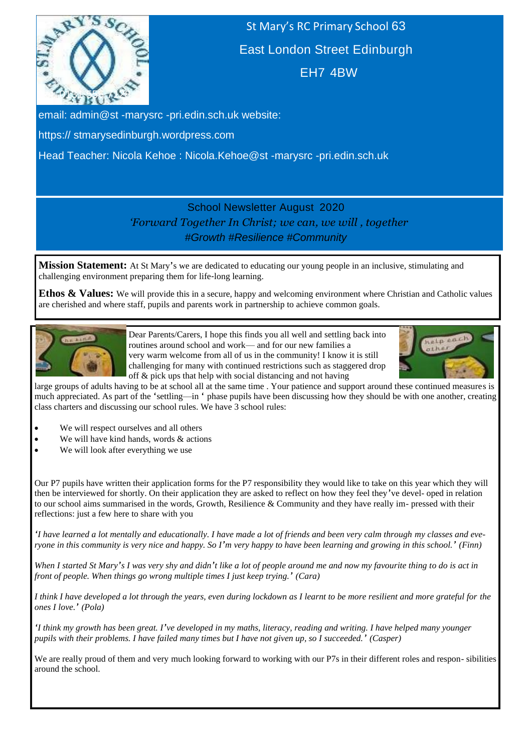

St Mary's RC Primary School 63 East London Street Edinburgh EH7 4BW

email: admin@st -marysrc -pri.edin.sch.uk website:

https:// stmarysedinburgh.wordpress.com

Head Teacher: Nicola Kehoe : Nicola.Kehoe@st -marysrc -pri.edin.sch.uk

# School Newsletter August 2020 *'Forward Together In Christ; we can, we will , together #Growth #Resilience #Community*

**Mission Statement:** At St Mary's we are dedicated to educating our young people in an inclusive, stimulating and challenging environment preparing them for life-long learning.

**Ethos & Values:** We will provide this in a secure, happy and welcoming environment where Christian and Catholic values are cherished and where staff, pupils and parents work in partnership to achieve common goals.



Dear Parents/Carers, I hope this finds you all well and settling back into routines around school and work— and for our new families a very warm welcome from all of us in the community! I know it is still challenging for many with continued restrictions such as staggered drop off & pick ups that help with social distancing and not having



large groups of adults having to be at school all at the same time . Your patience and support around these continued measures is much appreciated. As part of the 'settling—in ' phase pupils have been discussing how they should be with one another, creating class charters and discussing our school rules. We have 3 school rules:

- We will respect ourselves and all others
- We will have kind hands, words  $&$  actions
- We will look after everything we use

Our P7 pupils have written their application forms for the P7 responsibility they would like to take on this year which they will then be interviewed for shortly. On their application they are asked to reflect on how they feel they've devel- oped in relation to our school aims summarised in the words, Growth, Resilience & Community and they have really im- pressed with their reflections: just a few here to share with you

*'I have learned a lot mentally and educationally. I have made a lot of friends and been very calm through my classes and everyone in this community is very nice and happy. So I'm very happy to have been learning and growing in this school.' (Finn)*

*When I started St Mary's I was very shy and didn't like a lot of people around me and now my favourite thing to do is act in front of people. When things go wrong multiple times I just keep trying.' (Cara)*

*I think I have developed a lot through the years, even during lockdown as I learnt to be more resilient and more grateful for the ones I love.' (Pola)*

*'I think my growth has been great. I've developed in my maths, literacy, reading and writing. I have helped many younger pupils with their problems. I have failed many times but I have not given up, so I succeeded.' (Casper)*

We are really proud of them and very much looking forward to working with our P7s in their different roles and respon- sibilities around the school.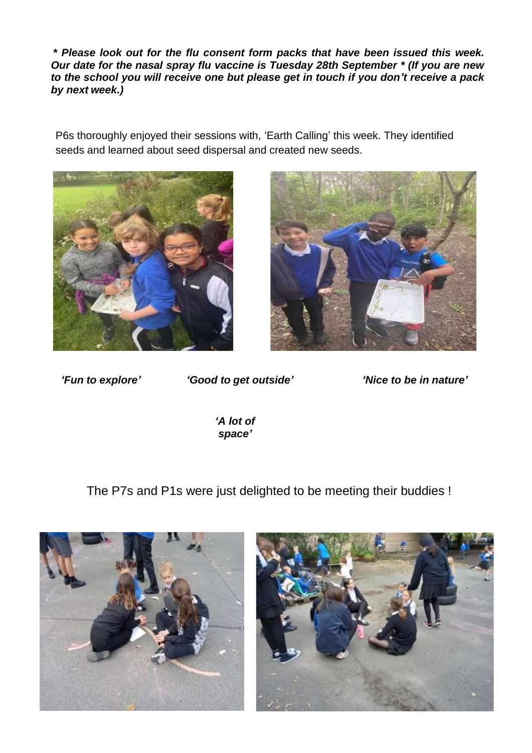*\* Please look out for the flu consent form packs that have been issued this week. Our date for the nasal spray flu vaccine is Tuesday 28th September \* (If you are new to the school you will receive one but please get in touch if you don't receive a pack by next week.)*

P6s thoroughly enjoyed their sessions with, 'Earth Calling' this week. They identified seeds and learned about seed dispersal and created new seeds.





*'Fun to explore' 'Good to get outside' 'Nice to be in nature'*

*'A lot of space'*

The P7s and P1s were just delighted to be meeting their buddies !



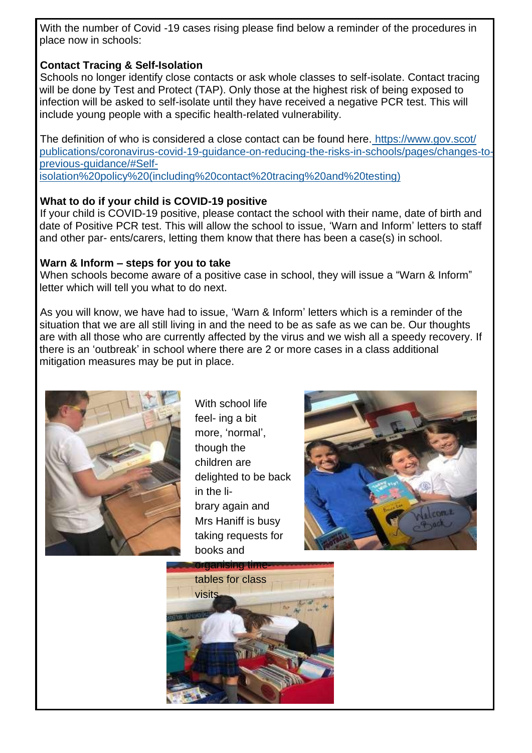With the number of Covid -19 cases rising please find below a reminder of the procedures in place now in schools:

# **Contact Tracing & Self-Isolation**

Schools no longer identify close contacts or ask whole classes to self-isolate. Contact tracing will be done by Test and Protect (TAP). Only those at the highest risk of being exposed to infection will be asked to self-isolate until they have received a negative PCR test. This will include young people with a specific health-related vulnerability.

The definition of who is considered a close contact can be found here. [https://www.gov.scot/](https://www.gov.scot/publications/coronavirus-covid-19-guidance-on-reducing-the-risks-in-schools/pages/changes-to-previous-guidance/#Self-isolation%20policy%20(including%20contact%20tracing%20and%20testing)) [publications/coronavirus-covid-19-guidance-on-reducing-the-risks-in-schools/pages/changes-to](https://www.gov.scot/publications/coronavirus-covid-19-guidance-on-reducing-the-risks-in-schools/pages/changes-to-previous-guidance/#Self-isolation%20policy%20(including%20contact%20tracing%20and%20testing))[previous-guidance/#Self](https://www.gov.scot/publications/coronavirus-covid-19-guidance-on-reducing-the-risks-in-schools/pages/changes-to-previous-guidance/#Self-isolation%20policy%20(including%20contact%20tracing%20and%20testing))[isolation%20policy%20\(including%20contact%20tracing%20and%20testing\)](https://www.gov.scot/publications/coronavirus-covid-19-guidance-on-reducing-the-risks-in-schools/pages/changes-to-previous-guidance/#Self-isolation%20policy%20(including%20contact%20tracing%20and%20testing))

# **What to do if your child is COVID-19 positive**

If your child is COVID-19 positive, please contact the school with their name, date of birth and date of Positive PCR test. This will allow the school to issue, 'Warn and Inform' letters to staff and other par- ents/carers, letting them know that there has been a case(s) in school.

# **Warn & Inform – steps for you to take**

When schools become aware of a positive case in school, they will issue a "Warn & Inform" letter which will tell you what to do next.

As you will know, we have had to issue, 'Warn & Inform' letters which is a reminder of the situation that we are all still living in and the need to be as safe as we can be. Our thoughts are with all those who are currently affected by the virus and we wish all a speedy recovery. If there is an 'outbreak' in school where there are 2 or more cases in a class additional mitigation measures may be put in place.



With school life feel- ing a bit more, 'normal', though the children are delighted to be back in the library again and Mrs Haniff is busy taking requests for books and